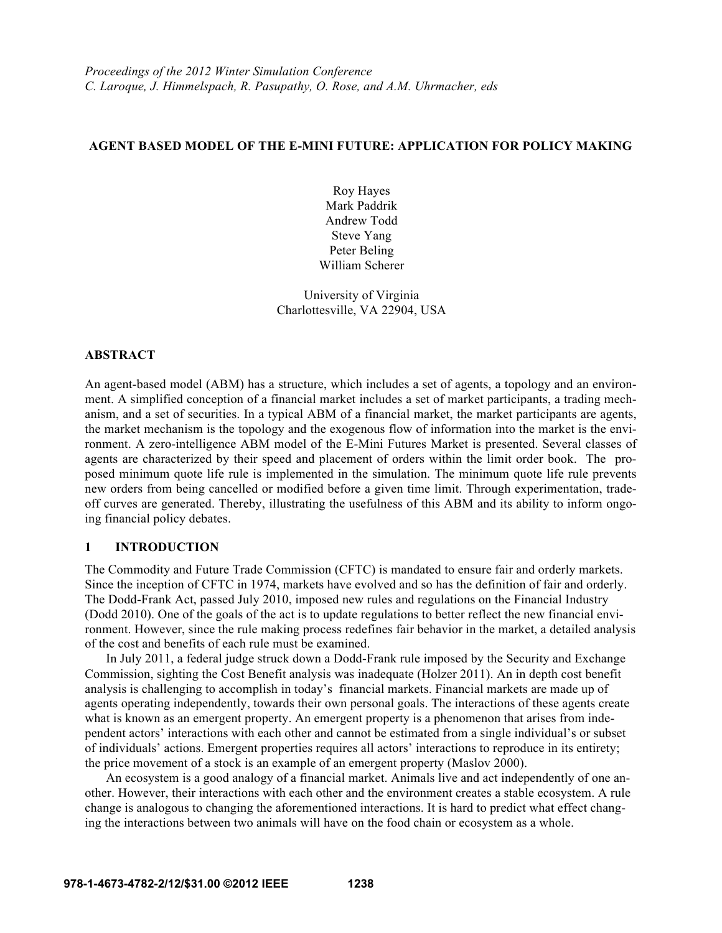# **AGENT BASED MODEL OF THE E-MINI FUTURE: APPLICATION FOR POLICY MAKING**

Roy Hayes Mark Paddrik Andrew Todd Steve Yang Peter Beling William Scherer

University of Virginia Charlottesville, VA 22904, USA

## **ABSTRACT**

An agent-based model (ABM) has a structure, which includes a set of agents, a topology and an environment. A simplified conception of a financial market includes a set of market participants, a trading mechanism, and a set of securities. In a typical ABM of a financial market, the market participants are agents, the market mechanism is the topology and the exogenous flow of information into the market is the environment. A zero-intelligence ABM model of the E-Mini Futures Market is presented. Several classes of agents are characterized by their speed and placement of orders within the limit order book. The proposed minimum quote life rule is implemented in the simulation. The minimum quote life rule prevents new orders from being cancelled or modified before a given time limit. Through experimentation, tradeoff curves are generated. Thereby, illustrating the usefulness of this ABM and its ability to inform ongoing financial policy debates.

# **1 INTRODUCTION**

The Commodity and Future Trade Commission (CFTC) is mandated to ensure fair and orderly markets. Since the inception of CFTC in 1974, markets have evolved and so has the definition of fair and orderly. The Dodd-Frank Act, passed July 2010, imposed new rules and regulations on the Financial Industry (Dodd 2010). One of the goals of the act is to update regulations to better reflect the new financial environment. However, since the rule making process redefines fair behavior in the market, a detailed analysis of the cost and benefits of each rule must be examined.

 In July 2011, a federal judge struck down a Dodd-Frank rule imposed by the Security and Exchange Commission, sighting the Cost Benefit analysis was inadequate (Holzer 2011). An in depth cost benefit analysis is challenging to accomplish in today's financial markets. Financial markets are made up of agents operating independently, towards their own personal goals. The interactions of these agents create what is known as an emergent property. An emergent property is a phenomenon that arises from independent actors' interactions with each other and cannot be estimated from a single individual's or subset of individuals' actions. Emergent properties requires all actors' interactions to reproduce in its entirety; the price movement of a stock is an example of an emergent property (Maslov 2000).

 An ecosystem is a good analogy of a financial market. Animals live and act independently of one another. However, their interactions with each other and the environment creates a stable ecosystem. A rule change is analogous to changing the aforementioned interactions. It is hard to predict what effect changing the interactions between two animals will have on the food chain or ecosystem as a whole.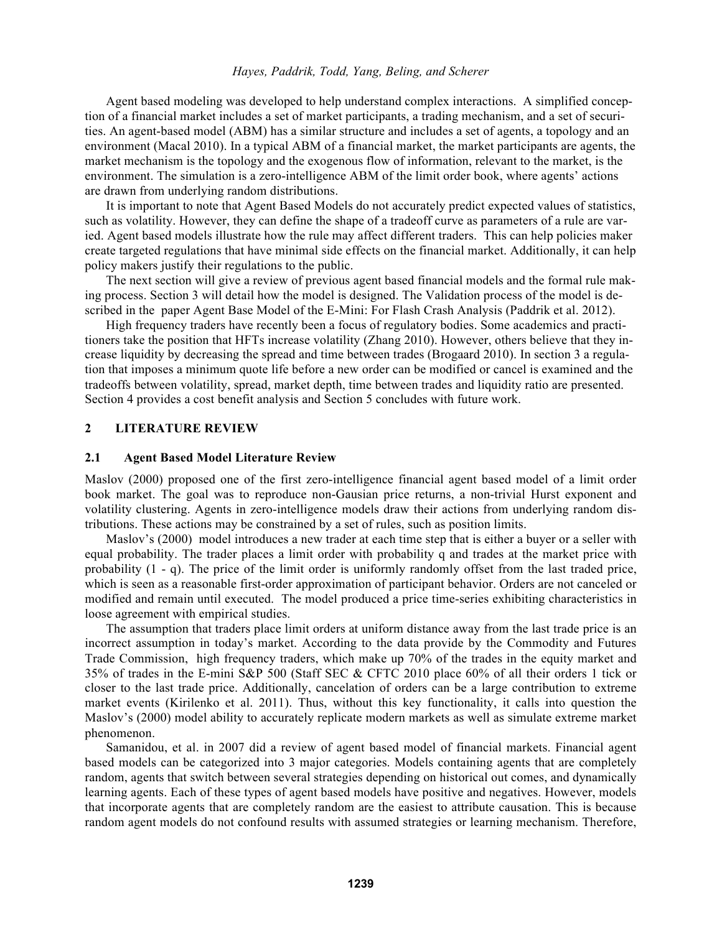Agent based modeling was developed to help understand complex interactions. A simplified conception of a financial market includes a set of market participants, a trading mechanism, and a set of securities. An agent-based model (ABM) has a similar structure and includes a set of agents, a topology and an environment (Macal 2010). In a typical ABM of a financial market, the market participants are agents, the market mechanism is the topology and the exogenous flow of information, relevant to the market, is the environment. The simulation is a zero-intelligence ABM of the limit order book, where agents' actions are drawn from underlying random distributions.

It is important to note that Agent Based Models do not accurately predict expected values of statistics, such as volatility. However, they can define the shape of a tradeoff curve as parameters of a rule are varied. Agent based models illustrate how the rule may affect different traders. This can help policies maker create targeted regulations that have minimal side effects on the financial market. Additionally, it can help policy makers justify their regulations to the public.

The next section will give a review of previous agent based financial models and the formal rule making process. Section 3 will detail how the model is designed. The Validation process of the model is described in the paper Agent Base Model of the E-Mini: For Flash Crash Analysis (Paddrik et al. 2012).

High frequency traders have recently been a focus of regulatory bodies. Some academics and practitioners take the position that HFTs increase volatility (Zhang 2010). However, others believe that they increase liquidity by decreasing the spread and time between trades (Brogaard 2010). In section 3 a regulation that imposes a minimum quote life before a new order can be modified or cancel is examined and the tradeoffs between volatility, spread, market depth, time between trades and liquidity ratio are presented. Section 4 provides a cost benefit analysis and Section 5 concludes with future work.

# **2 LITERATURE REVIEW**

#### **2.1 Agent Based Model Literature Review**

Maslov (2000) proposed one of the first zero-intelligence financial agent based model of a limit order book market. The goal was to reproduce non-Gausian price returns, a non-trivial Hurst exponent and volatility clustering. Agents in zero-intelligence models draw their actions from underlying random distributions. These actions may be constrained by a set of rules, such as position limits.

 Maslov's (2000) model introduces a new trader at each time step that is either a buyer or a seller with equal probability. The trader places a limit order with probability q and trades at the market price with probability (1 - q). The price of the limit order is uniformly randomly offset from the last traded price, which is seen as a reasonable first-order approximation of participant behavior. Orders are not canceled or modified and remain until executed. The model produced a price time-series exhibiting characteristics in loose agreement with empirical studies.

 The assumption that traders place limit orders at uniform distance away from the last trade price is an incorrect assumption in today's market. According to the data provide by the Commodity and Futures Trade Commission, high frequency traders, which make up 70% of the trades in the equity market and 35% of trades in the E-mini S&P 500 (Staff SEC & CFTC 2010 place 60% of all their orders 1 tick or closer to the last trade price. Additionally, cancelation of orders can be a large contribution to extreme market events (Kirilenko et al. 2011). Thus, without this key functionality, it calls into question the Maslov's (2000) model ability to accurately replicate modern markets as well as simulate extreme market phenomenon.

Samanidou, et al. in 2007 did a review of agent based model of financial markets. Financial agent based models can be categorized into 3 major categories. Models containing agents that are completely random, agents that switch between several strategies depending on historical out comes, and dynamically learning agents. Each of these types of agent based models have positive and negatives. However, models that incorporate agents that are completely random are the easiest to attribute causation. This is because random agent models do not confound results with assumed strategies or learning mechanism. Therefore,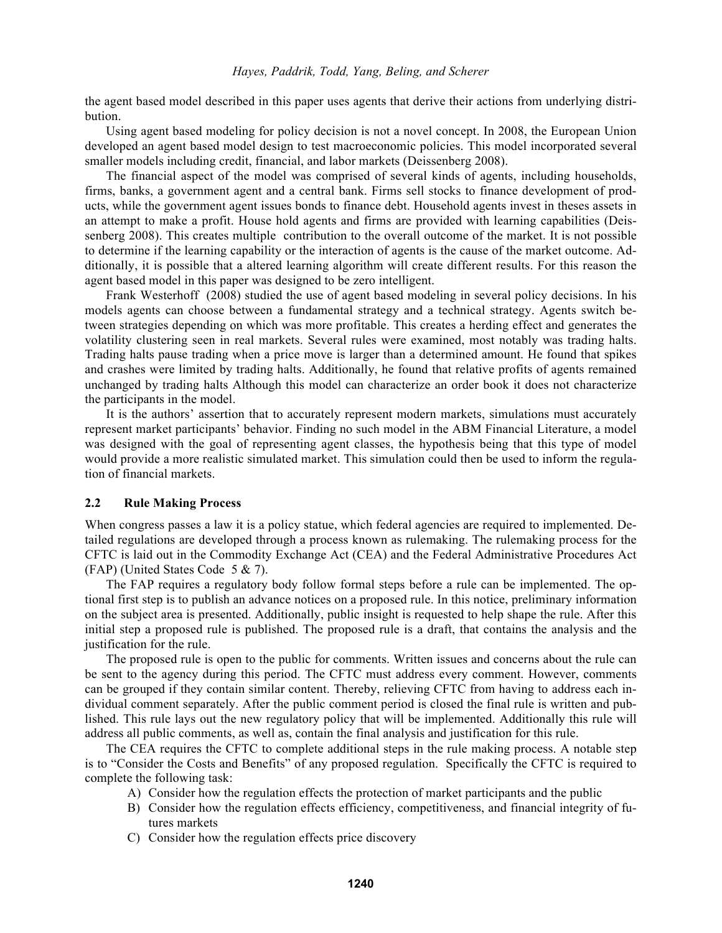the agent based model described in this paper uses agents that derive their actions from underlying distribution.

 Using agent based modeling for policy decision is not a novel concept. In 2008, the European Union developed an agent based model design to test macroeconomic policies. This model incorporated several smaller models including credit, financial, and labor markets (Deissenberg 2008).

 The financial aspect of the model was comprised of several kinds of agents, including households, firms, banks, a government agent and a central bank. Firms sell stocks to finance development of products, while the government agent issues bonds to finance debt. Household agents invest in theses assets in an attempt to make a profit. House hold agents and firms are provided with learning capabilities (Deissenberg 2008). This creates multiple contribution to the overall outcome of the market. It is not possible to determine if the learning capability or the interaction of agents is the cause of the market outcome. Additionally, it is possible that a altered learning algorithm will create different results. For this reason the agent based model in this paper was designed to be zero intelligent.

Frank Westerhoff (2008) studied the use of agent based modeling in several policy decisions. In his models agents can choose between a fundamental strategy and a technical strategy. Agents switch between strategies depending on which was more profitable. This creates a herding effect and generates the volatility clustering seen in real markets. Several rules were examined, most notably was trading halts. Trading halts pause trading when a price move is larger than a determined amount. He found that spikes and crashes were limited by trading halts. Additionally, he found that relative profits of agents remained unchanged by trading halts Although this model can characterize an order book it does not characterize the participants in the model.

 It is the authors' assertion that to accurately represent modern markets, simulations must accurately represent market participants' behavior. Finding no such model in the ABM Financial Literature, a model was designed with the goal of representing agent classes, the hypothesis being that this type of model would provide a more realistic simulated market. This simulation could then be used to inform the regulation of financial markets.

# **2.2 Rule Making Process**

When congress passes a law it is a policy statue, which federal agencies are required to implemented. Detailed regulations are developed through a process known as rulemaking. The rulemaking process for the CFTC is laid out in the Commodity Exchange Act (CEA) and the Federal Administrative Procedures Act (FAP) (United States Code 5 & 7).

The FAP requires a regulatory body follow formal steps before a rule can be implemented. The optional first step is to publish an advance notices on a proposed rule. In this notice, preliminary information on the subject area is presented. Additionally, public insight is requested to help shape the rule. After this initial step a proposed rule is published. The proposed rule is a draft, that contains the analysis and the justification for the rule.

The proposed rule is open to the public for comments. Written issues and concerns about the rule can be sent to the agency during this period. The CFTC must address every comment. However, comments can be grouped if they contain similar content. Thereby, relieving CFTC from having to address each individual comment separately. After the public comment period is closed the final rule is written and published. This rule lays out the new regulatory policy that will be implemented. Additionally this rule will address all public comments, as well as, contain the final analysis and justification for this rule.

The CEA requires the CFTC to complete additional steps in the rule making process. A notable step is to "Consider the Costs and Benefits" of any proposed regulation. Specifically the CFTC is required to complete the following task:

- A) Consider how the regulation effects the protection of market participants and the public
- B) Consider how the regulation effects efficiency, competitiveness, and financial integrity of futures markets
- C) Consider how the regulation effects price discovery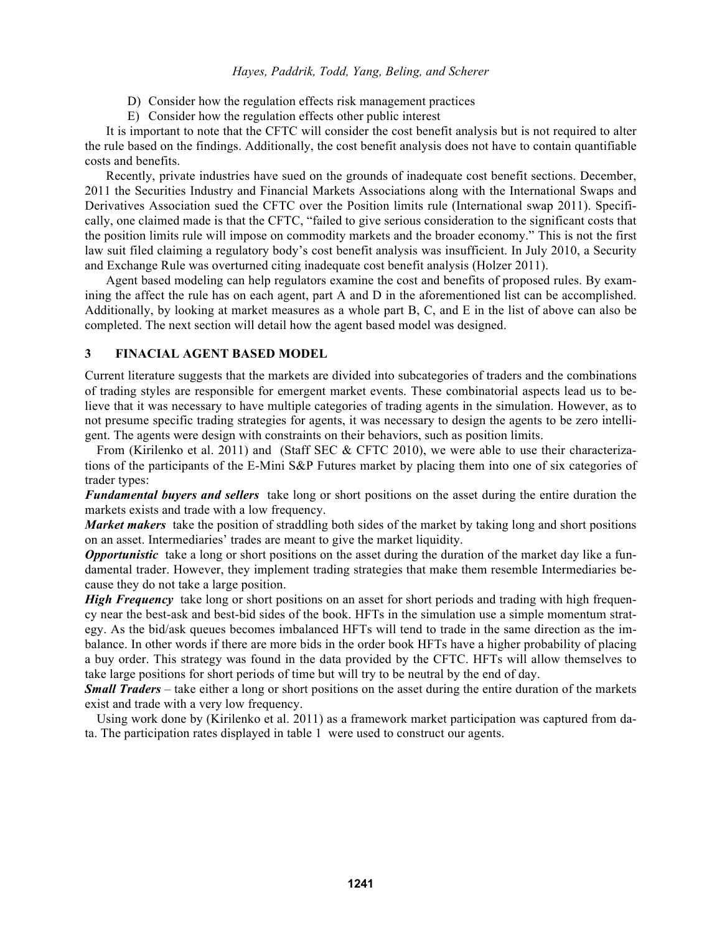- D) Consider how the regulation effects risk management practices
- E) Consider how the regulation effects other public interest

It is important to note that the CFTC will consider the cost benefit analysis but is not required to alter the rule based on the findings. Additionally, the cost benefit analysis does not have to contain quantifiable costs and benefits.

Recently, private industries have sued on the grounds of inadequate cost benefit sections. December, 2011 the Securities Industry and Financial Markets Associations along with the International Swaps and Derivatives Association sued the CFTC over the Position limits rule (International swap 2011). Specifically, one claimed made is that the CFTC, "failed to give serious consideration to the significant costs that the position limits rule will impose on commodity markets and the broader economy." This is not the first law suit filed claiming a regulatory body's cost benefit analysis was insufficient. In July 2010, a Security and Exchange Rule was overturned citing inadequate cost benefit analysis (Holzer 2011).

Agent based modeling can help regulators examine the cost and benefits of proposed rules. By examining the affect the rule has on each agent, part A and D in the aforementioned list can be accomplished. Additionally, by looking at market measures as a whole part B, C, and E in the list of above can also be completed. The next section will detail how the agent based model was designed.

#### **3 FINACIAL AGENT BASED MODEL**

Current literature suggests that the markets are divided into subcategories of traders and the combinations of trading styles are responsible for emergent market events. These combinatorial aspects lead us to believe that it was necessary to have multiple categories of trading agents in the simulation. However, as to not presume specific trading strategies for agents, it was necessary to design the agents to be zero intelligent. The agents were design with constraints on their behaviors, such as position limits.

From (Kirilenko et al. 2011) and (Staff SEC & CFTC 2010), we were able to use their characterizations of the participants of the E-Mini S&P Futures market by placing them into one of six categories of trader types:

*Fundamental buyers and sellers* take long or short positions on the asset during the entire duration the markets exists and trade with a low frequency.

*Market makers* take the position of straddling both sides of the market by taking long and short positions on an asset. Intermediaries' trades are meant to give the market liquidity.

*Opportunistic* take a long or short positions on the asset during the duration of the market day like a fundamental trader. However, they implement trading strategies that make them resemble Intermediaries because they do not take a large position.

*High Frequency* take long or short positions on an asset for short periods and trading with high frequency near the best-ask and best-bid sides of the book. HFTs in the simulation use a simple momentum strategy. As the bid/ask queues becomes imbalanced HFTs will tend to trade in the same direction as the imbalance. In other words if there are more bids in the order book HFTs have a higher probability of placing a buy order. This strategy was found in the data provided by the CFTC. HFTs will allow themselves to take large positions for short periods of time but will try to be neutral by the end of day.

*Small Traders* – take either a long or short positions on the asset during the entire duration of the markets exist and trade with a very low frequency.

Using work done by (Kirilenko et al. 2011) as a framework market participation was captured from data. The participation rates displayed in table 1 were used to construct our agents.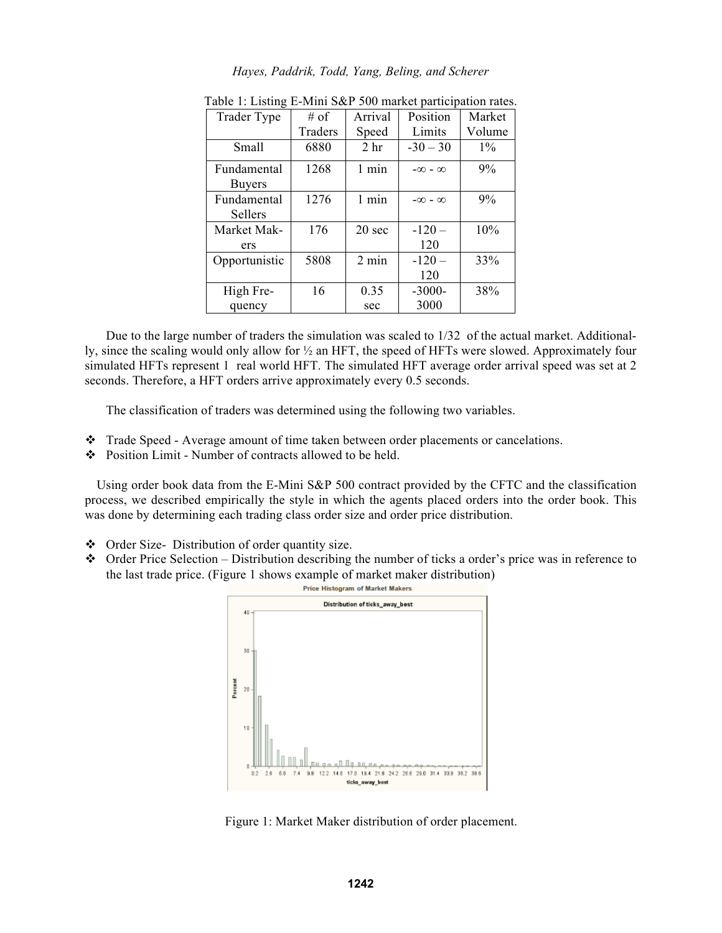| Trader Type    | # of    | Arrival           | Position           | Market |
|----------------|---------|-------------------|--------------------|--------|
|                | Traders | Speed             | Limits             | Volume |
| Small          | 6880    | 2 <sub>hr</sub>   | $-30 - 30$         | $1\%$  |
| Fundamental    | 1268    | 1 min             | $-\infty - \infty$ | 9%     |
| <b>Buyers</b>  |         |                   |                    |        |
| Fundamental    | 1276    | 1 min             | $-\infty - \infty$ | 9%     |
| <b>Sellers</b> |         |                   |                    |        |
| Market Mak-    | 176     | 20 <sub>sec</sub> | $-120-$            | 10%    |
| ers            |         |                   | 120                |        |
| Opportunistic  | 5808    | 2 min             | $-120-$            | 33%    |
|                |         |                   | 120                |        |
| High Fre-      | 16      | 0.35              | $-3000-$           | 38%    |
| quency         |         | sec               | 3000               |        |

Table 1: Listing E-Mini S&P 500 market participation rates.

 Due to the large number of traders the simulation was scaled to 1/32 of the actual market. Additionally, since the scaling would only allow for ½ an HFT, the speed of HFTs were slowed. Approximately four simulated HFTs represent 1 real world HFT. The simulated HFT average order arrival speed was set at 2 seconds. Therefore, a HFT orders arrive approximately every 0.5 seconds.

The classification of traders was determined using the following two variables.

- Trade Speed Average amount of time taken between order placements or cancelations.
- Position Limit Number of contracts allowed to be held.

Using order book data from the E-Mini S&P 500 contract provided by the CFTC and the classification process, we described empirically the style in which the agents placed orders into the order book. This was done by determining each trading class order size and order price distribution.

- Order Size- Distribution of order quantity size.
- $\bullet$  Order Price Selection Distribution describing the number of ticks a order's price was in reference to the last trade price. (Figure 1 shows example of market maker distribution)



Figure 1: Market Maker distribution of order placement.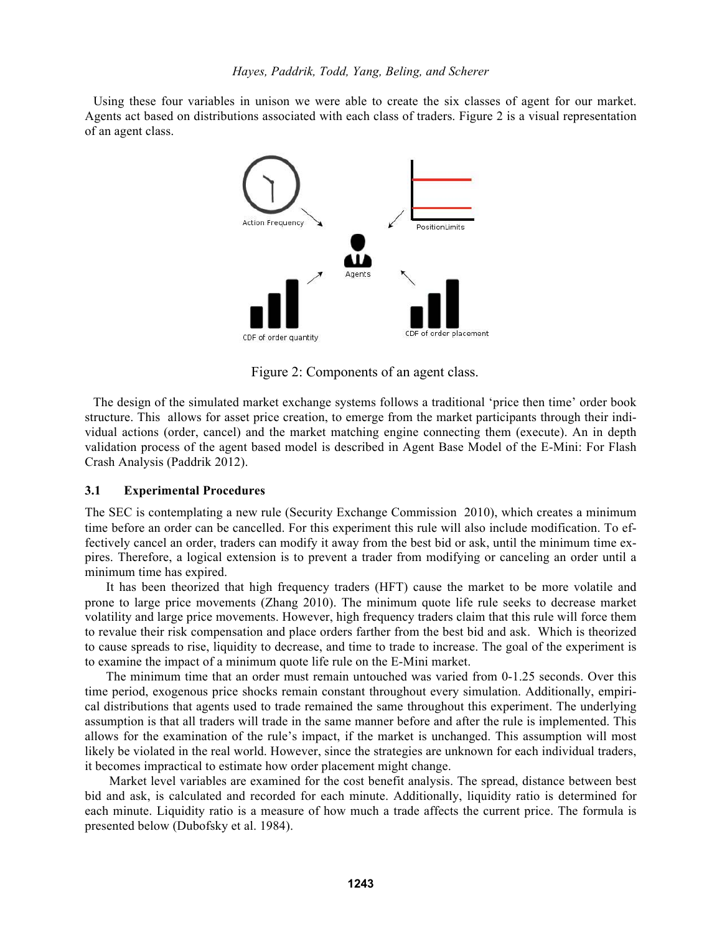Using these four variables in unison we were able to create the six classes of agent for our market. Agents act based on distributions associated with each class of traders. Figure 2 is a visual representation of an agent class.



Figure 2: Components of an agent class.

The design of the simulated market exchange systems follows a traditional 'price then time' order book structure. This allows for asset price creation, to emerge from the market participants through their individual actions (order, cancel) and the market matching engine connecting them (execute). An in depth validation process of the agent based model is described in Agent Base Model of the E-Mini: For Flash Crash Analysis (Paddrik 2012).

#### **3.1 Experimental Procedures**

The SEC is contemplating a new rule (Security Exchange Commission 2010), which creates a minimum time before an order can be cancelled. For this experiment this rule will also include modification. To effectively cancel an order, traders can modify it away from the best bid or ask, until the minimum time expires. Therefore, a logical extension is to prevent a trader from modifying or canceling an order until a minimum time has expired.

 It has been theorized that high frequency traders (HFT) cause the market to be more volatile and prone to large price movements (Zhang 2010). The minimum quote life rule seeks to decrease market volatility and large price movements. However, high frequency traders claim that this rule will force them to revalue their risk compensation and place orders farther from the best bid and ask. Which is theorized to cause spreads to rise, liquidity to decrease, and time to trade to increase. The goal of the experiment is to examine the impact of a minimum quote life rule on the E-Mini market.

The minimum time that an order must remain untouched was varied from 0-1.25 seconds. Over this time period, exogenous price shocks remain constant throughout every simulation. Additionally, empirical distributions that agents used to trade remained the same throughout this experiment. The underlying assumption is that all traders will trade in the same manner before and after the rule is implemented. This allows for the examination of the rule's impact, if the market is unchanged. This assumption will most likely be violated in the real world. However, since the strategies are unknown for each individual traders, it becomes impractical to estimate how order placement might change.

 Market level variables are examined for the cost benefit analysis. The spread, distance between best bid and ask, is calculated and recorded for each minute. Additionally, liquidity ratio is determined for each minute. Liquidity ratio is a measure of how much a trade affects the current price. The formula is presented below (Dubofsky et al. 1984).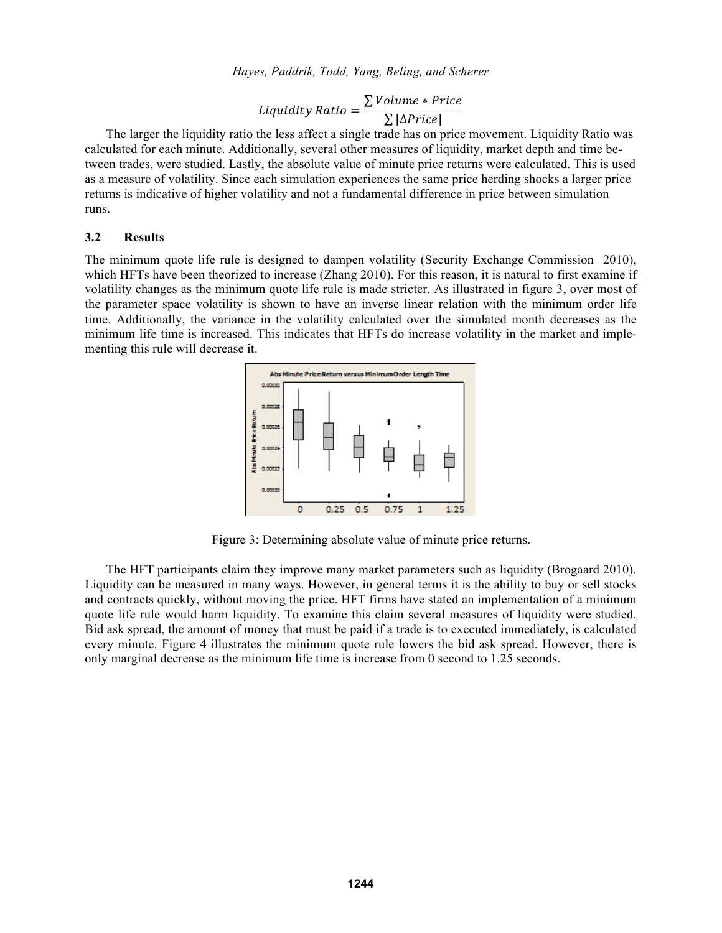# Liquidity Ratio  $=$   $\frac{\sum Volume * Price}{\sum H.D.}$  $|\Delta Price|$

The larger the liquidity ratio the less affect a single trade has on price movement. Liquidity Ratio was calculated for each minute. Additionally, several other measures of liquidity, market depth and time between trades, were studied. Lastly, the absolute value of minute price returns were calculated. This is used as a measure of volatility. Since each simulation experiences the same price herding shocks a larger price returns is indicative of higher volatility and not a fundamental difference in price between simulation runs.

#### **3.2 Results**

The minimum quote life rule is designed to dampen volatility (Security Exchange Commission 2010), which HFTs have been theorized to increase (Zhang 2010). For this reason, it is natural to first examine if volatility changes as the minimum quote life rule is made stricter. As illustrated in figure 3, over most of the parameter space volatility is shown to have an inverse linear relation with the minimum order life time. Additionally, the variance in the volatility calculated over the simulated month decreases as the minimum life time is increased. This indicates that HFTs do increase volatility in the market and implementing this rule will decrease it.



Figure 3: Determining absolute value of minute price returns.

The HFT participants claim they improve many market parameters such as liquidity (Brogaard 2010). Liquidity can be measured in many ways. However, in general terms it is the ability to buy or sell stocks and contracts quickly, without moving the price. HFT firms have stated an implementation of a minimum quote life rule would harm liquidity. To examine this claim several measures of liquidity were studied. Bid ask spread, the amount of money that must be paid if a trade is to executed immediately, is calculated every minute. Figure 4 illustrates the minimum quote rule lowers the bid ask spread. However, there is only marginal decrease as the minimum life time is increase from 0 second to 1.25 seconds.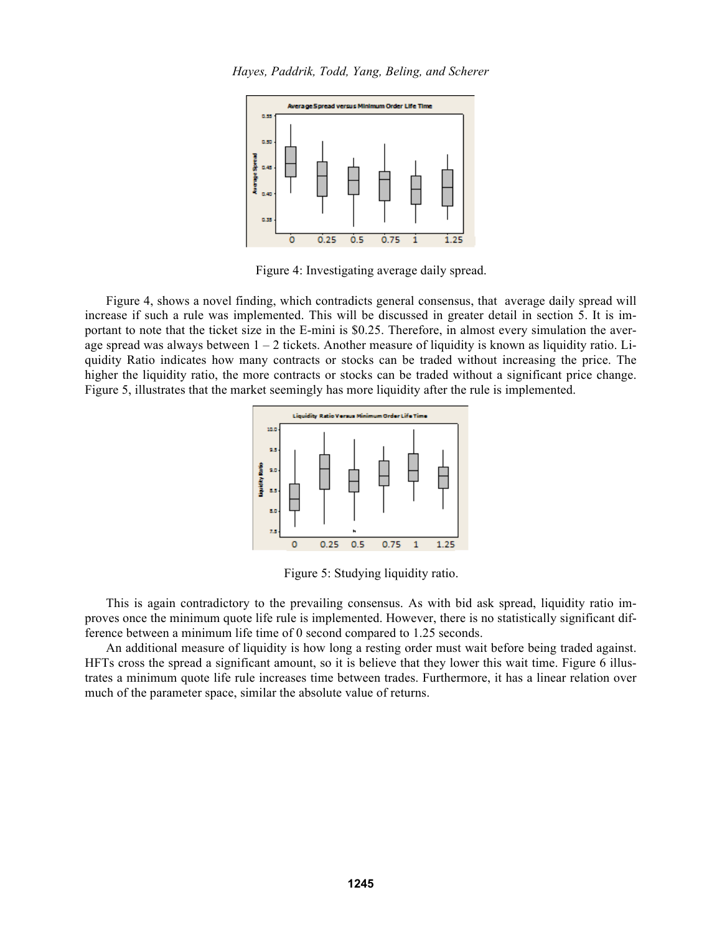*Hayes, Paddrik, Todd, Yang, Beling, and Scherer* 



Figure 4: Investigating average daily spread.

Figure 4, shows a novel finding, which contradicts general consensus, that average daily spread will increase if such a rule was implemented. This will be discussed in greater detail in section 5. It is important to note that the ticket size in the E-mini is \$0.25. Therefore, in almost every simulation the average spread was always between  $1 - 2$  tickets. Another measure of liquidity is known as liquidity ratio. Liquidity Ratio indicates how many contracts or stocks can be traded without increasing the price. The higher the liquidity ratio, the more contracts or stocks can be traded without a significant price change. Figure 5, illustrates that the market seemingly has more liquidity after the rule is implemented.



Figure 5: Studying liquidity ratio.

This is again contradictory to the prevailing consensus. As with bid ask spread, liquidity ratio improves once the minimum quote life rule is implemented. However, there is no statistically significant difference between a minimum life time of 0 second compared to 1.25 seconds.

An additional measure of liquidity is how long a resting order must wait before being traded against. HFTs cross the spread a significant amount, so it is believe that they lower this wait time. Figure 6 illustrates a minimum quote life rule increases time between trades. Furthermore, it has a linear relation over much of the parameter space, similar the absolute value of returns.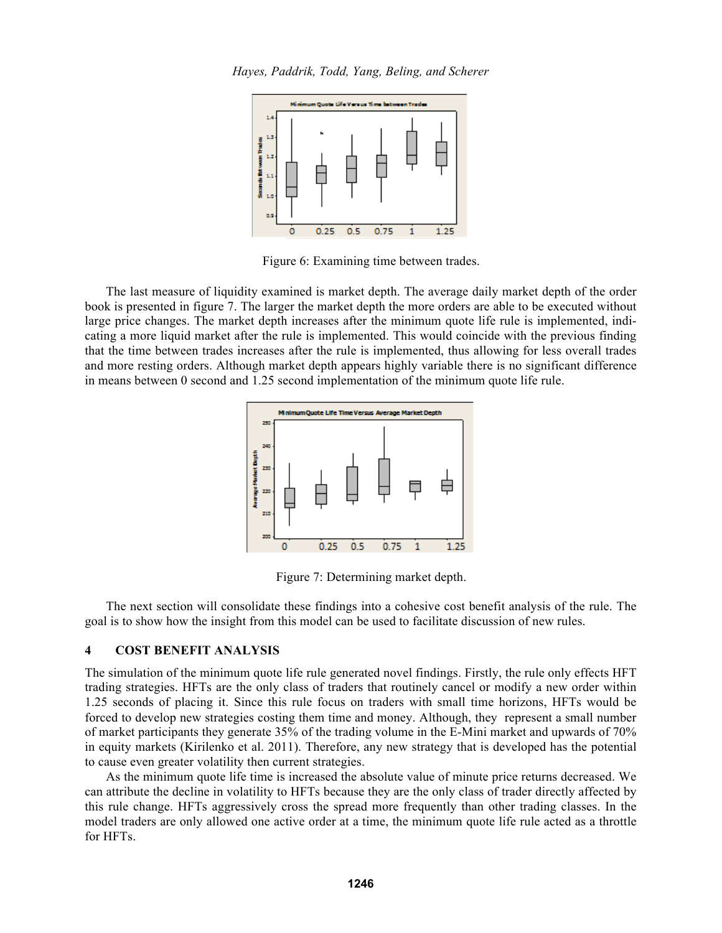*Hayes, Paddrik, Todd, Yang, Beling, and Scherer* 



Figure 6: Examining time between trades.

The last measure of liquidity examined is market depth. The average daily market depth of the order book is presented in figure 7. The larger the market depth the more orders are able to be executed without large price changes. The market depth increases after the minimum quote life rule is implemented, indicating a more liquid market after the rule is implemented. This would coincide with the previous finding that the time between trades increases after the rule is implemented, thus allowing for less overall trades and more resting orders. Although market depth appears highly variable there is no significant difference in means between 0 second and 1.25 second implementation of the minimum quote life rule.



Figure 7: Determining market depth.

The next section will consolidate these findings into a cohesive cost benefit analysis of the rule. The goal is to show how the insight from this model can be used to facilitate discussion of new rules.

#### **4 COST BENEFIT ANALYSIS**

The simulation of the minimum quote life rule generated novel findings. Firstly, the rule only effects HFT trading strategies. HFTs are the only class of traders that routinely cancel or modify a new order within 1.25 seconds of placing it. Since this rule focus on traders with small time horizons, HFTs would be forced to develop new strategies costing them time and money. Although, they represent a small number of market participants they generate 35% of the trading volume in the E-Mini market and upwards of 70% in equity markets (Kirilenko et al. 2011). Therefore, any new strategy that is developed has the potential to cause even greater volatility then current strategies.

As the minimum quote life time is increased the absolute value of minute price returns decreased. We can attribute the decline in volatility to HFTs because they are the only class of trader directly affected by this rule change. HFTs aggressively cross the spread more frequently than other trading classes. In the model traders are only allowed one active order at a time, the minimum quote life rule acted as a throttle for HFTs.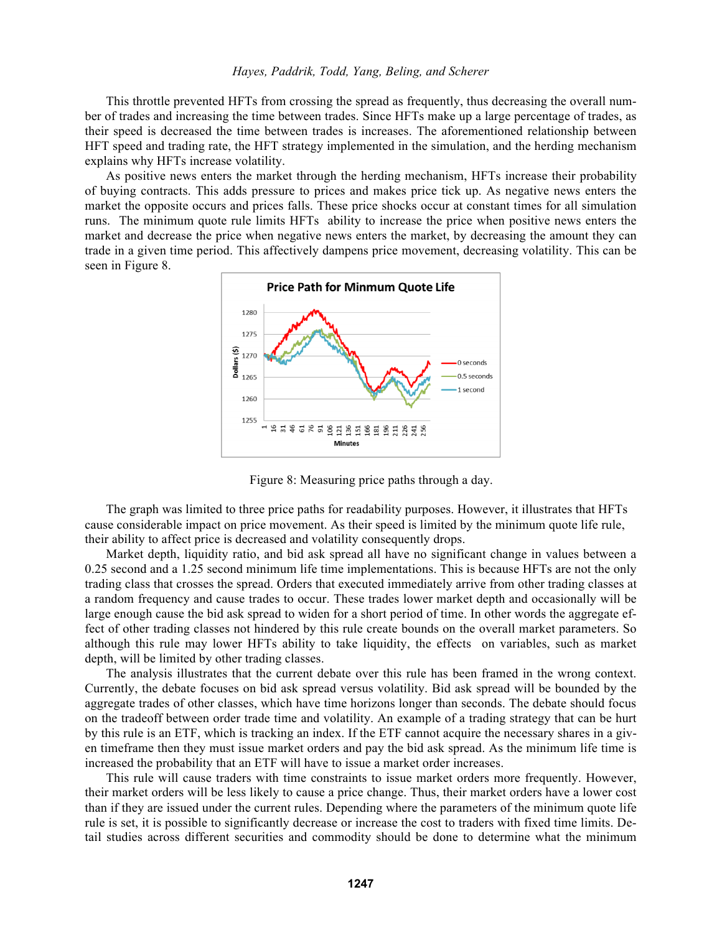This throttle prevented HFTs from crossing the spread as frequently, thus decreasing the overall number of trades and increasing the time between trades. Since HFTs make up a large percentage of trades, as their speed is decreased the time between trades is increases. The aforementioned relationship between HFT speed and trading rate, the HFT strategy implemented in the simulation, and the herding mechanism explains why HFTs increase volatility.

As positive news enters the market through the herding mechanism, HFTs increase their probability of buying contracts. This adds pressure to prices and makes price tick up. As negative news enters the market the opposite occurs and prices falls. These price shocks occur at constant times for all simulation runs. The minimum quote rule limits HFTs ability to increase the price when positive news enters the market and decrease the price when negative news enters the market, by decreasing the amount they can trade in a given time period. This affectively dampens price movement, decreasing volatility. This can be seen in Figure 8.



Figure 8: Measuring price paths through a day.

The graph was limited to three price paths for readability purposes. However, it illustrates that HFTs cause considerable impact on price movement. As their speed is limited by the minimum quote life rule, their ability to affect price is decreased and volatility consequently drops.

Market depth, liquidity ratio, and bid ask spread all have no significant change in values between a 0.25 second and a 1.25 second minimum life time implementations. This is because HFTs are not the only trading class that crosses the spread. Orders that executed immediately arrive from other trading classes at a random frequency and cause trades to occur. These trades lower market depth and occasionally will be large enough cause the bid ask spread to widen for a short period of time. In other words the aggregate effect of other trading classes not hindered by this rule create bounds on the overall market parameters. So although this rule may lower HFTs ability to take liquidity, the effects on variables, such as market depth, will be limited by other trading classes.

The analysis illustrates that the current debate over this rule has been framed in the wrong context. Currently, the debate focuses on bid ask spread versus volatility. Bid ask spread will be bounded by the aggregate trades of other classes, which have time horizons longer than seconds. The debate should focus on the tradeoff between order trade time and volatility. An example of a trading strategy that can be hurt by this rule is an ETF, which is tracking an index. If the ETF cannot acquire the necessary shares in a given timeframe then they must issue market orders and pay the bid ask spread. As the minimum life time is increased the probability that an ETF will have to issue a market order increases.

This rule will cause traders with time constraints to issue market orders more frequently. However, their market orders will be less likely to cause a price change. Thus, their market orders have a lower cost than if they are issued under the current rules. Depending where the parameters of the minimum quote life rule is set, it is possible to significantly decrease or increase the cost to traders with fixed time limits. Detail studies across different securities and commodity should be done to determine what the minimum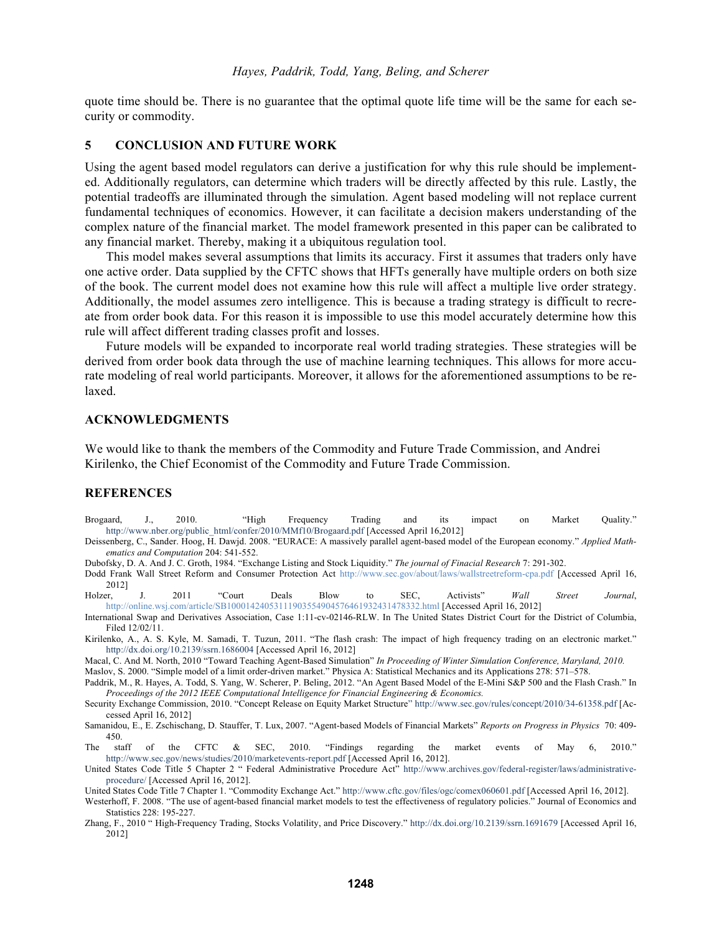quote time should be. There is no guarantee that the optimal quote life time will be the same for each security or commodity.

# **5 CONCLUSION AND FUTURE WORK**

Using the agent based model regulators can derive a justification for why this rule should be implemented. Additionally regulators, can determine which traders will be directly affected by this rule. Lastly, the potential tradeoffs are illuminated through the simulation. Agent based modeling will not replace current fundamental techniques of economics. However, it can facilitate a decision makers understanding of the complex nature of the financial market. The model framework presented in this paper can be calibrated to any financial market. Thereby, making it a ubiquitous regulation tool.

This model makes several assumptions that limits its accuracy. First it assumes that traders only have one active order. Data supplied by the CFTC shows that HFTs generally have multiple orders on both size of the book. The current model does not examine how this rule will affect a multiple live order strategy. Additionally, the model assumes zero intelligence. This is because a trading strategy is difficult to recreate from order book data. For this reason it is impossible to use this model accurately determine how this rule will affect different trading classes profit and losses.

Future models will be expanded to incorporate real world trading strategies. These strategies will be derived from order book data through the use of machine learning techniques. This allows for more accurate modeling of real world participants. Moreover, it allows for the aforementioned assumptions to be relaxed.

#### **ACKNOWLEDGMENTS**

We would like to thank the members of the Commodity and Future Trade Commission, and Andrei Kirilenko, the Chief Economist of the Commodity and Future Trade Commission.

#### **REFERENCES**

- Brogaard, J., 2010. "High Frequency Trading and its impact on Market Quality." http://www.nber.org/public\_html/confer/2010/MMf10/Brogaard.pdf [Accessed April 16,2012]
- Deissenberg, C., Sander. Hoog, H. Dawjd. 2008. "EURACE: A massively parallel agent-based model of the European economy." *Applied Mathematics and Computation* 204: 541-552.

Dubofsky, D. A. And J. C. Groth, 1984. "Exchange Listing and Stock Liquidity." *The journal of Finacial Research* 7: 291-302.

Dodd Frank Wall Street Reform and Consumer Protection Act http://www.sec.gov/about/laws/wallstreetreform-cpa.pdf [Accessed April 16, 2012]

Holzer, J. 2011 "Court Deals Blow to SEC, Activists" *Wall Street Journal*, http://online.wsj.com/article/SB10001424053111903554904576461932431478332.html [Accessed April 16, 2012]

International Swap and Derivatives Association, Case 1:11-cv-02146-RLW. In The United States District Court for the District of Columbia, Filed 12/02/11.

- Kirilenko, A., A. S. Kyle, M. Samadi, T. Tuzun, 2011. "The flash crash: The impact of high frequency trading on an electronic market." http://dx.doi.org/10.2139/ssrn.1686004 [Accessed April 16, 2012]
- Macal, C. And M. North, 2010 "Toward Teaching Agent-Based Simulation" *In Proceeding of Winter Simulation Conference, Maryland, 2010.*

Maslov, S. 2000. "Simple model of a limit order-driven market." Physica A: Statistical Mechanics and its Applications 278: 571–578.

Paddrik, M., R. Hayes, A. Todd, S. Yang, W. Scherer, P. Beling, 2012. "An Agent Based Model of the E-Mini S&P 500 and the Flash Crash." In *Proceedings of the 2012 IEEE Computational Intelligence for Financial Engineering & Economics.* 

Security Exchange Commission, 2010. "Concept Release on Equity Market Structure" http://www.sec.gov/rules/concept/2010/34-61358.pdf [Accessed April 16, 2012]

Samanidou, E., E. Zschischang, D. Stauffer, T. Lux, 2007. "Agent-based Models of Financial Markets" *Reports on Progress in Physics* 70: 409- 450.

The staff of the CFTC & SEC, 2010. "Findings regarding the market events of May 6, 2010." http://www.sec.gov/news/studies/2010/marketevents-report.pdf [Accessed April 16, 2012].

United States Code Title 5 Chapter 2 " Federal Administrative Procedure Act" http://www.archives.gov/federal-register/laws/administrativeprocedure/ [Accessed April 16, 2012].

United States Code Title 7 Chapter 1. "Commodity Exchange Act." http://www.cftc.gov/files/ogc/comex060601.pdf [Accessed April 16, 2012].

Westerhoff, F. 2008. "The use of agent-based financial market models to test the effectiveness of regulatory policies." Journal of Economics and Statistics 228: 195-227.

Zhang, F., 2010 " High-Frequency Trading, Stocks Volatility, and Price Discovery." http://dx.doi.org/10.2139/ssrn.1691679 [Accessed April 16, 2012]